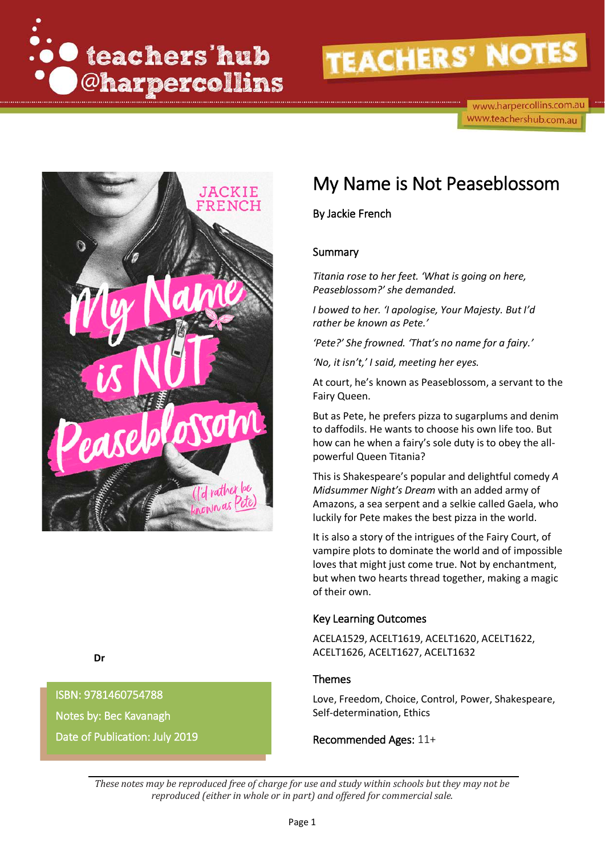

www.harpercollins.com.au www.teachershub.com.au



## My Name is Not Peaseblossom

By Jackie French

#### Summary

*Titania rose to her feet. 'What is going on here, Peaseblossom?' she demanded.*

*I bowed to her. 'I apologise, Your Majesty. But I'd rather be known as Pete.'*

*'Pete?' She frowned. 'That's no name for a fairy.'*

*'No, it isn't,' I said, meeting her eyes.* 

At court, he's known as Peaseblossom, a servant to the Fairy Queen.

But as Pete, he prefers pizza to sugarplums and denim to daffodils. He wants to choose his own life too. But how can he when a fairy's sole duty is to obey the allpowerful Queen Titania?

This is Shakespeare's popular and delightful comedy *A Midsummer Night's Dream* with an added army of Amazons, a sea serpent and a selkie called Gaela, who luckily for Pete makes the best pizza in the world.

It is also a story of the intrigues of the Fairy Court, of vampire plots to dominate the world and of impossible loves that might just come true. Not by enchantment, but when two hearts thread together, making a magic of their own.

#### Key Learning Outcomes

ACELA1529, ACELT1619, ACELT1620, ACELT1622, ACELT1626, ACELT1627, ACELT1632

#### Themes

Love, Freedom, Choice, Control, Power, Shakespeare, Self-determination, Ethics

Recommended Ages: 11+

**Dr** 

 Date of Publication: July 2019 ISBN: 9781460754788 Notes by: Bec Kavanagh

> *These notes may be reproduced free of charge for use and study within schools but they may not be reproduced (either in whole or in part) and offered for commercial sale.*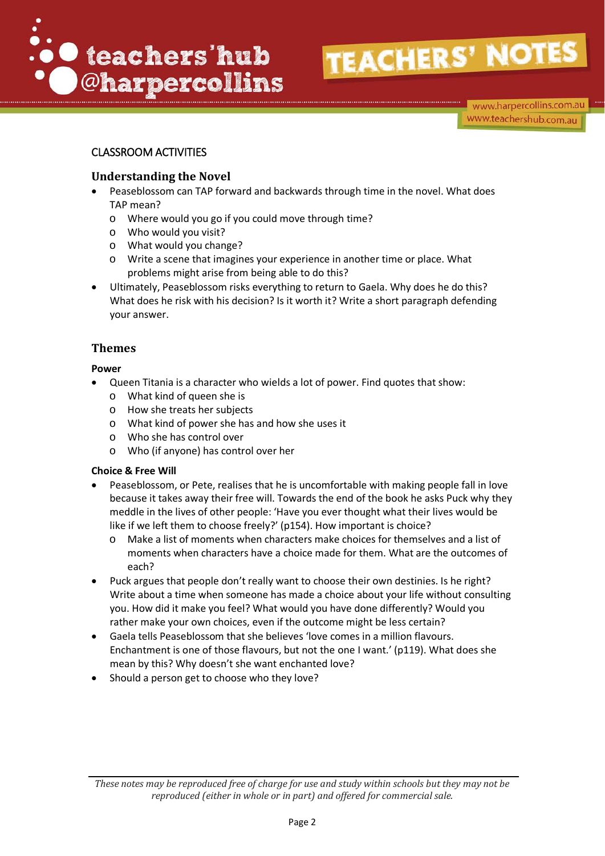

www.harpercollins.com.au www.teachershub.com.au

### CLASSROOM ACTIVITIES

#### **Understanding the Novel**

- Peaseblossom can TAP forward and backwards through time in the novel. What does TAP mean?
	- o Where would you go if you could move through time?
	- o Who would you visit?
	- o What would you change?
	- o Write a scene that imagines your experience in another time or place. What problems might arise from being able to do this?
- Ultimately, Peaseblossom risks everything to return to Gaela. Why does he do this? What does he risk with his decision? Is it worth it? Write a short paragraph defending your answer.

### **Themes**

#### **Power**

- Queen Titania is a character who wields a lot of power. Find quotes that show:
	- o What kind of queen she is
	- o How she treats her subjects
	- o What kind of power she has and how she uses it
	- o Who she has control over
	- o Who (if anyone) has control over her

#### **Choice & Free Will**

- Peaseblossom, or Pete, realises that he is uncomfortable with making people fall in love because it takes away their free will. Towards the end of the book he asks Puck why they meddle in the lives of other people: 'Have you ever thought what their lives would be like if we left them to choose freely?' (p154). How important is choice?
	- o Make a list of moments when characters make choices for themselves and a list of moments when characters have a choice made for them. What are the outcomes of each?
- Puck argues that people don't really want to choose their own destinies. Is he right? Write about a time when someone has made a choice about your life without consulting you. How did it make you feel? What would you have done differently? Would you rather make your own choices, even if the outcome might be less certain?
- Gaela tells Peaseblossom that she believes 'love comes in a million flavours. Enchantment is one of those flavours, but not the one I want.' (p119). What does she mean by this? Why doesn't she want enchanted love?
- Should a person get to choose who they love?

*These notes may be reproduced free of charge for use and study within schools but they may not be reproduced (either in whole or in part) and offered for commercial sale.*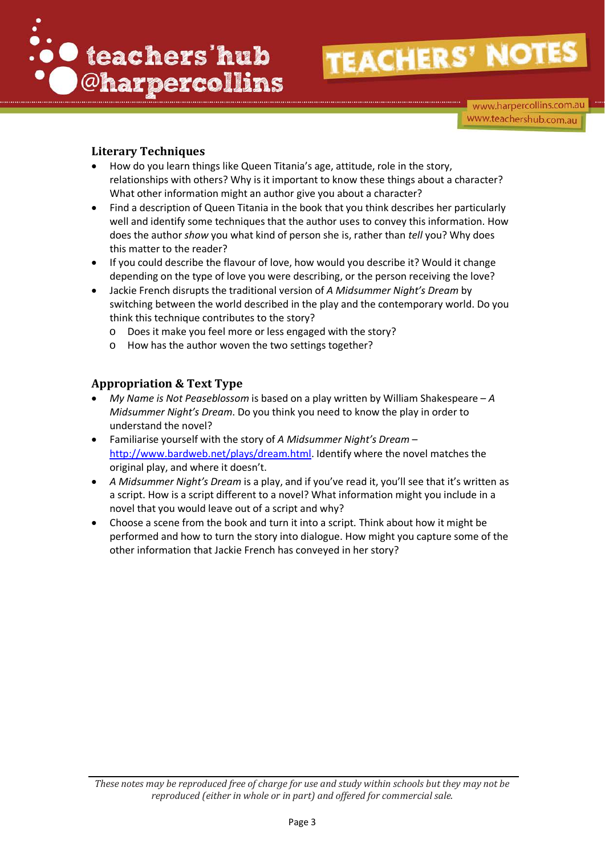

www.harpercollins.com.au www.teachershub.com.au

### **Literary Techniques**

- How do you learn things like Queen Titania's age, attitude, role in the story, relationships with others? Why is it important to know these things about a character? What other information might an author give you about a character?
- Find a description of Queen Titania in the book that you think describes her particularly well and identify some techniques that the author uses to convey this information. How does the author *show* you what kind of person she is, rather than *tell* you? Why does this matter to the reader?
- If you could describe the flavour of love, how would you describe it? Would it change depending on the type of love you were describing, or the person receiving the love?
- Jackie French disrupts the traditional version of *A Midsummer Night's Dream* by switching between the world described in the play and the contemporary world. Do you think this technique contributes to the story?
	- o Does it make you feel more or less engaged with the story?
	- o How has the author woven the two settings together?

#### **Appropriation & Text Type**

- *My Name is Not Peaseblossom* is based on a play written by William Shakespeare *A Midsummer Night's Dream*. Do you think you need to know the play in order to understand the novel?
- Familiarise yourself with the story of *A Midsummer Night's Dream* [http://www.bardweb.net/plays/dream.html.](http://www.bardweb.net/plays/dream.html) Identify where the novel matches the original play, and where it doesn't.
- *A Midsummer Night's Dream* is a play, and if you've read it, you'll see that it's written as a script. How is a script different to a novel? What information might you include in a novel that you would leave out of a script and why?
- Choose a scene from the book and turn it into a script. Think about how it might be performed and how to turn the story into dialogue. How might you capture some of the other information that Jackie French has conveyed in her story?